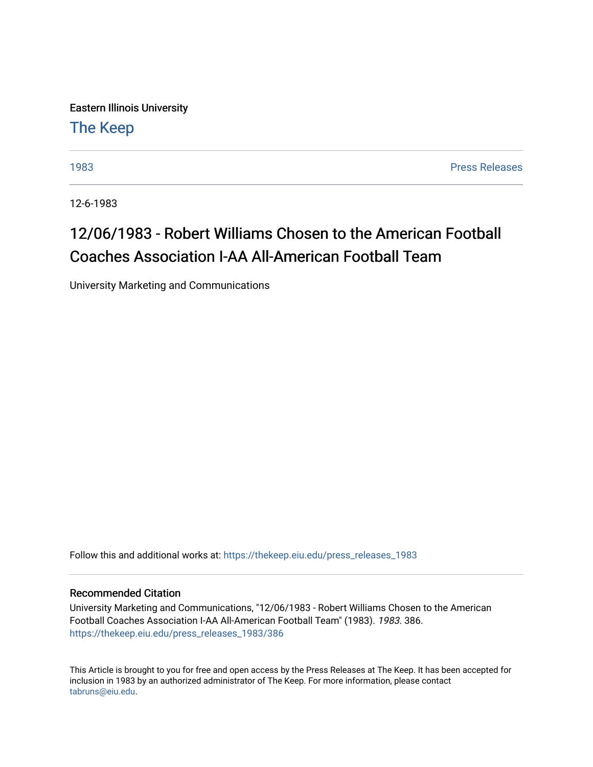Eastern Illinois University [The Keep](https://thekeep.eiu.edu/) 

[1983](https://thekeep.eiu.edu/press_releases_1983) [Press Releases](https://thekeep.eiu.edu/press_releases_collection) 

12-6-1983

## 12/06/1983 - Robert Williams Chosen to the American Football Coaches Association I-AA All-American Football Team

University Marketing and Communications

Follow this and additional works at: [https://thekeep.eiu.edu/press\\_releases\\_1983](https://thekeep.eiu.edu/press_releases_1983?utm_source=thekeep.eiu.edu%2Fpress_releases_1983%2F386&utm_medium=PDF&utm_campaign=PDFCoverPages) 

## Recommended Citation

University Marketing and Communications, "12/06/1983 - Robert Williams Chosen to the American Football Coaches Association I-AA All-American Football Team" (1983). 1983. 386. [https://thekeep.eiu.edu/press\\_releases\\_1983/386](https://thekeep.eiu.edu/press_releases_1983/386?utm_source=thekeep.eiu.edu%2Fpress_releases_1983%2F386&utm_medium=PDF&utm_campaign=PDFCoverPages) 

This Article is brought to you for free and open access by the Press Releases at The Keep. It has been accepted for inclusion in 1983 by an authorized administrator of The Keep. For more information, please contact [tabruns@eiu.edu.](mailto:tabruns@eiu.edu)